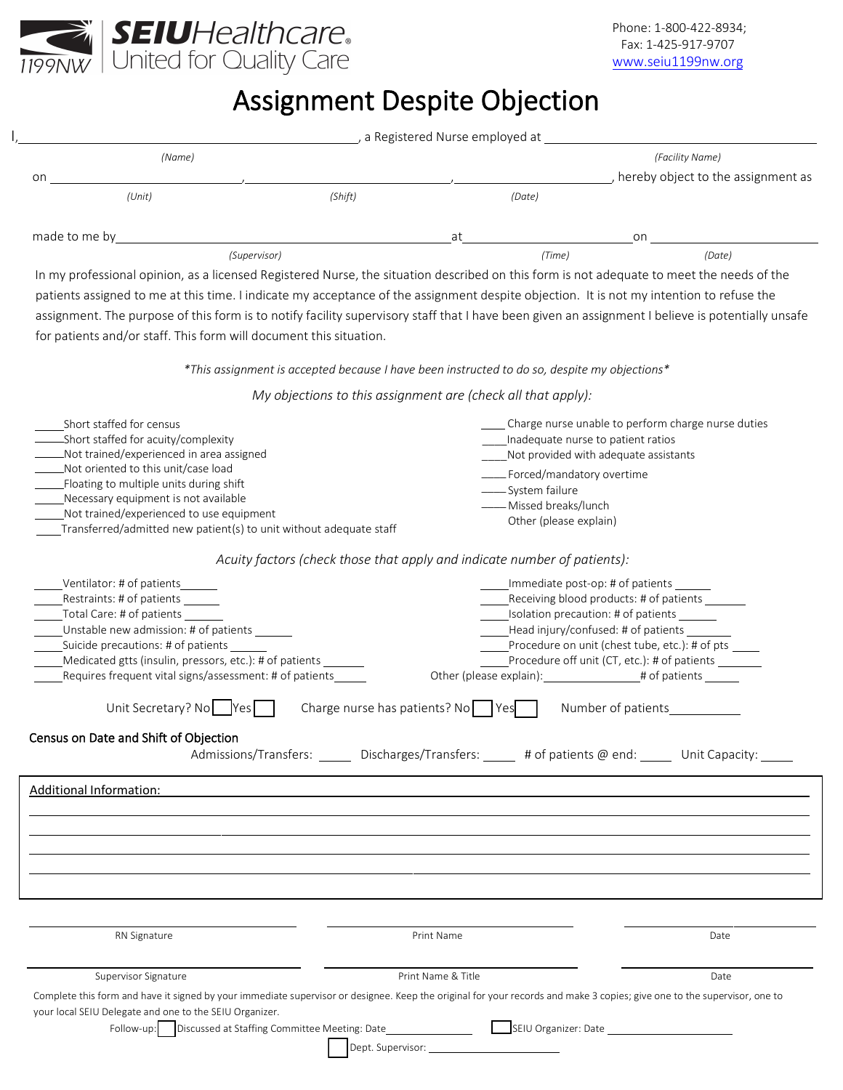

## Assignment Despite Objection

|               | a Registered Nurse employed at |              |    |        |                                                       |  |  |
|---------------|--------------------------------|--------------|----|--------|-------------------------------------------------------|--|--|
| on            | (Name)                         |              |    |        | (Facility Name)<br>hereby object to the assignment as |  |  |
|               | (Unit)                         | (Shift)      |    | (Date) |                                                       |  |  |
| made to me by |                                |              | at |        | on                                                    |  |  |
|               |                                | (Supervisor) |    | (Time) | (Date)                                                |  |  |

In my professional opinion, as a licensed Registered Nurse, the situation described on this form is not adequate to meet the needs of the patients assigned to me at this time. I indicate my acceptance of the assignment despite objection. It is not my intention to refuse the assignment. The purpose of this form is to notify facility supervisory staff that I have been given an assignment I believe is potentially unsafe for patients and/or staff. This form will document this situation.

*\*This assignment is accepted because I have been instructed to do so, despite my objections\**

*My objections to this assignment are (check all that apply):*

| Short staffed for census<br>Short staffed for acuity/complexity<br>Not trained/experienced in area assigned<br>Not oriented to this unit/case load<br>- Floating to multiple units during shift<br>Necessary equipment is not available<br>Not trained/experienced to use equipment<br>Transferred/admitted new patient(s) to unit without adequate staff                                              | Inadequate nurse to patient ratios<br>Not provided with adequate assistants<br>____Forced/mandatory overtime<br>____System failure<br>- Missed breaks/lunch<br>Other (please explain) | _ Charge nurse unable to perform charge nurse duties                                                                                                                                                                                                        |  |  |  |  |  |  |  |
|--------------------------------------------------------------------------------------------------------------------------------------------------------------------------------------------------------------------------------------------------------------------------------------------------------------------------------------------------------------------------------------------------------|---------------------------------------------------------------------------------------------------------------------------------------------------------------------------------------|-------------------------------------------------------------------------------------------------------------------------------------------------------------------------------------------------------------------------------------------------------------|--|--|--|--|--|--|--|
| Acuity factors (check those that apply and indicate number of patients):                                                                                                                                                                                                                                                                                                                               |                                                                                                                                                                                       |                                                                                                                                                                                                                                                             |  |  |  |  |  |  |  |
| Ventilator: # of patients<br>Restraints: # of patients<br>_Total Care: # of patients ____<br>Unstable new admission: # of patients<br>Suicide precautions: # of patients<br>Medicated gtts (insulin, pressors, etc.): # of patients<br>Requires frequent vital signs/assessment: # of patients<br>Unit Secretary? No<br>Yes<br>Census on Date and Shift of Objection<br><b>Additional Information:</b> | Charge nurse has patients? No Yes<br>Admissions/Transfers: ______ Discharges/Transfers: _____ # of patients @ end: _____ Unit Capacity: _____                                         | Immediate post-op: # of patients<br>Receiving blood products: # of patients<br>Isolation precaution: # of patients<br>Head injury/confused: # of patients<br>Procedure on unit (chest tube, etc.): # of pts<br>Procedure off unit (CT, etc.): # of patients |  |  |  |  |  |  |  |
| RN Signature                                                                                                                                                                                                                                                                                                                                                                                           | Print Name                                                                                                                                                                            | Date                                                                                                                                                                                                                                                        |  |  |  |  |  |  |  |
| Supervisor Signature                                                                                                                                                                                                                                                                                                                                                                                   | Print Name & Title                                                                                                                                                                    | Date                                                                                                                                                                                                                                                        |  |  |  |  |  |  |  |
| Complete this form and have it signed by your immediate supervisor or designee. Keep the original for your records and make 3 copies; give one to the supervisor, one to<br>your local SEIU Delegate and one to the SEIU Organizer.                                                                                                                                                                    | Follow-up: Discussed at Staffing Committee Meeting: Date _________________________SEIU Organizer: Date ______<br>Dept. Supervisor:                                                    |                                                                                                                                                                                                                                                             |  |  |  |  |  |  |  |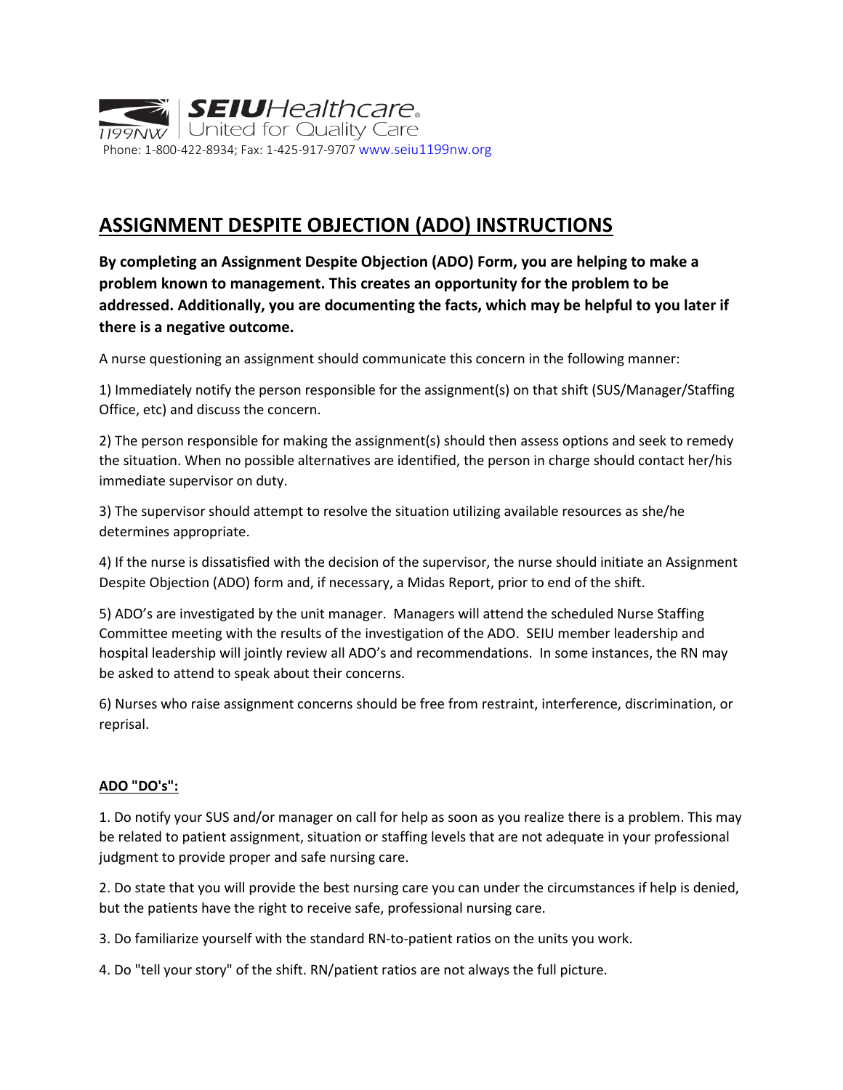

## **ASSIGNMENT DESPITE OBJECTION (ADO) INSTRUCTIONS**

**By completing an Assignment Despite Objection (ADO) Form, you are helping to make a problem known to management. This creates an opportunity for the problem to be addressed. Additionally, you are documenting the facts, which may be helpful to you later if there is a negative outcome.** 

A nurse questioning an assignment should communicate this concern in the following manner:

1) Immediately notify the person responsible for the assignment(s) on that shift (SUS/Manager/Staffing Office, etc) and discuss the concern.

2) The person responsible for making the assignment(s) should then assess options and seek to remedy the situation. When no possible alternatives are identified, the person in charge should contact her/his immediate supervisor on duty.

3) The supervisor should attempt to resolve the situation utilizing available resources as she/he determines appropriate.

4) If the nurse is dissatisfied with the decision of the supervisor, the nurse should initiate an Assignment Despite Objection (ADO) form and, if necessary, a Midas Report, prior to end of the shift.

5) ADO's are investigated by the unit manager. Managers will attend the scheduled Nurse Staffing Committee meeting with the results of the investigation of the ADO. SEIU member leadership and hospital leadership will jointly review all ADO's and recommendations. In some instances, the RN may be asked to attend to speak about their concerns.

6) Nurses who raise assignment concerns should be free from restraint, interference, discrimination, or reprisal.

## **ADO "DO's":**

1. Do notify your SUS and/or manager on call for help as soon as you realize there is a problem. This may be related to patient assignment, situation or staffing levels that are not adequate in your professional judgment to provide proper and safe nursing care.

2. Do state that you will provide the best nursing care you can under the circumstances if help is denied, but the patients have the right to receive safe, professional nursing care.

3. Do familiarize yourself with the standard RN-to-patient ratios on the units you work.

4. Do "tell your story" of the shift. RN/patient ratios are not always the full picture.